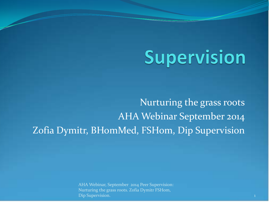# Supervision

Nurturing the grass roots AHA Webinar September 2014 Zofia Dymitr, BHomMed, FSHom, Dip Supervision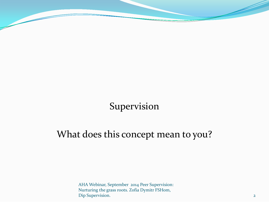#### Supervision

#### What does this concept mean to you?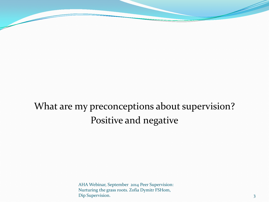#### What are my preconceptions about supervision? Positive and negative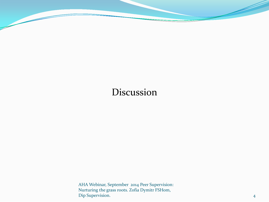#### Discussion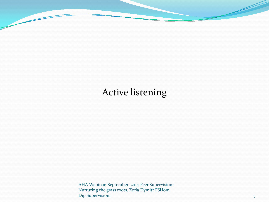#### Active listening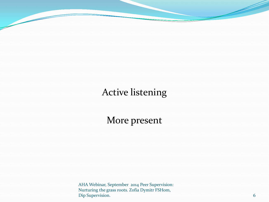#### Active listening

#### More present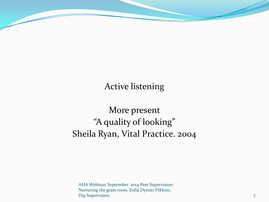Active listening

More present "A quality of looking" Sheila Ryan, Vital Practice. 2004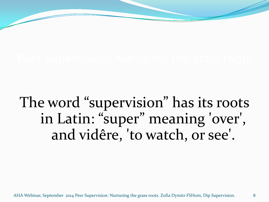The word "supervision" has its roots in Latin: "super" meaning 'over', and vidêre, 'to watch, or see'.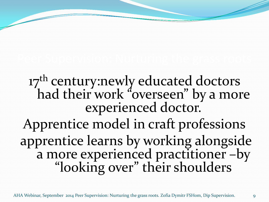17<sup>th</sup> century:newly educated doctors had their work "overseen" by a more<br>experienced doctor. Apprentice model in craft professions apprentice learns by working alongside a more experienced practitioner –by "looking over" their shoulders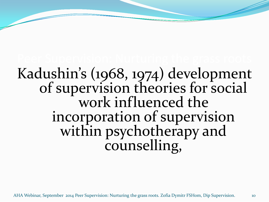Kadushin's (1968, 1974) development<br>of supervision theories for social<br>work influenced the incorporation of supervision within psychotherapy and<br>counselling,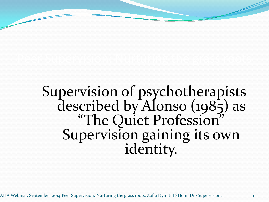Supervision of psychotherapists described by Alonso (1985) as "The Quiet Profession" Supervision gaining its own<br>identity.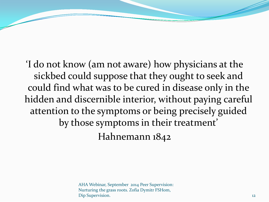'I do not know (am not aware) how physicians at the sickbed could suppose that they ought to seek and could find what was to be cured in disease only in the hidden and discernible interior, without paying careful attention to the symptoms or being precisely guided by those symptoms in their treatment' Hahnemann 1842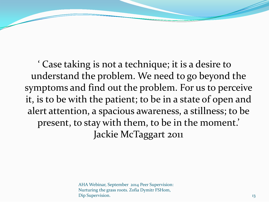' Case taking is not a technique; it is a desire to understand the problem. We need to go beyond the symptoms and find out the problem. For us to perceive it, is to be with the patient; to be in a state of open and alert attention, a spacious awareness, a stillness; to be present, to stay with them, to be in the moment.' Jackie McTaggart 2011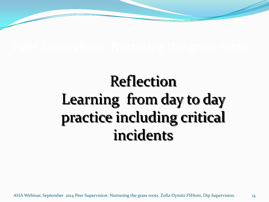# Reflection Learning from day to day practice including critical incidents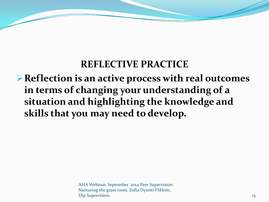#### **REFLECTIVE PRACTICE**

**Reflection is an active process with real outcomes in terms of changing your understanding of a situation and highlighting the knowledge and skills that you may need to develop.**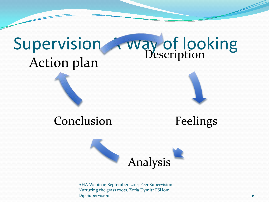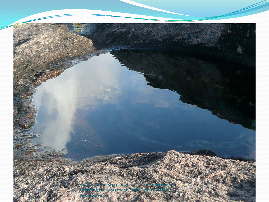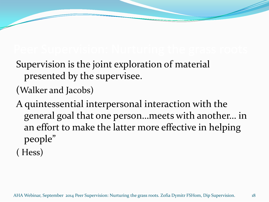Supervision is the joint exploration of material presented by the supervisee.

(Walker and Jacobs)

A quintessential interpersonal interaction with the general goal that one person…meets with another… in an effort to make the latter more effective in helping people" ( Hess)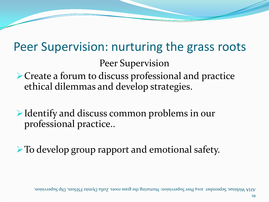Peer Supervision: nurturing the grass roots Peer Supervision Create a forum to discuss professional and practice ethical dilemmas and develop strategies.

Identify and discuss common problems in our professional practice..

 $\triangleright$  To develop group rapport and emotional safety.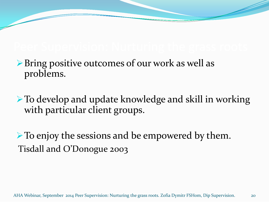- ▶ Bring positive outcomes of our work as well as problems.
- ► To develop and update knowledge and skill in working with particular client groups.

 $\triangleright$  To enjoy the sessions and be empowered by them. Tisdall and O'Donogue 2003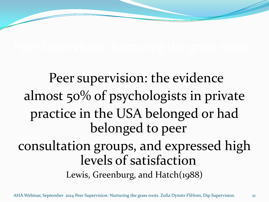### Peer supervision: the evidence almost 50% of psychologists in private practice in the USA belonged or had belonged to peer consultation groups, and expressed high levels of satisfaction Lewis, Greenburg, and Hatch(1988)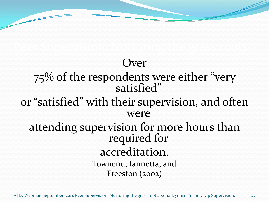### Over 75% of the respondents were either "very"<br>satisfied" or "satisfied" with their supervision, and often were attending supervision for more hours than required for accreditation. Townend, Iannetta, and Freeston (2002)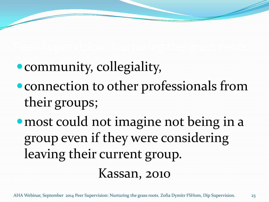- community, collegiality,
- connection to other professionals from their groups;
- most could not imagine not being in a group even if they were considering leaving their current group.

Kassan, 2010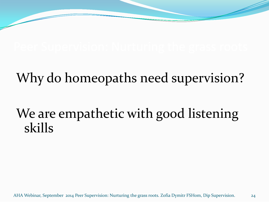### Why do homeopaths need supervision?

### We are empathetic with good listening skills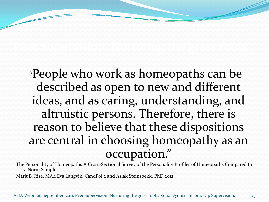#### "People who work as homeopaths can be described as open to new and different ideas, and as caring, understanding, and altruistic persons. Therefore, there is reason to believe that these dispositions are central in choosing homeopathy as an occupation."

The Personality of Homeopaths:A Cross-Sectional Survey of the Personality Profiles of Homeopaths Compared to a Norm Sample

Marit B. Rise, MA,1 Eva Langvik, CandPol,2 and Aslak Steinsbekk, PhD 2012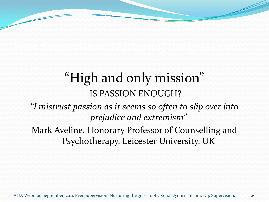### "High and only mission" IS PASSION ENOUGH?

*"I mistrust passion as it seems so often to slip over into prejudice and extremism"*

Mark Aveline, Honorary Professor of Counselling and Psychotherapy, Leicester University, UK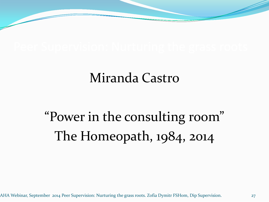#### Miranda Castro

## "Power in the consulting room" The Homeopath, 1984, 2014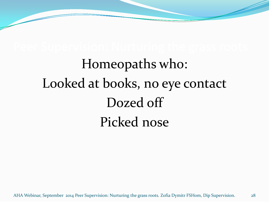# Homeopaths who: Looked at books, no eye contact Dozed off Picked nose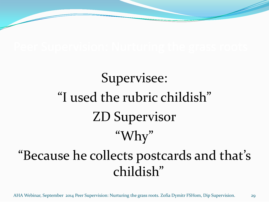## Supervisee: "I used the rubric childish" ZD Supervisor "Why" "Because he collects postcards and that's childish"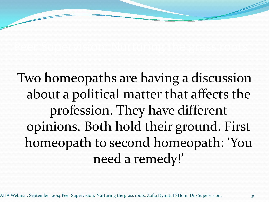Two homeopaths are having a discussion about a political matter that affects the profession. They have different opinions. Both hold their ground. First homeopath to second homeopath: 'You need a remedy!'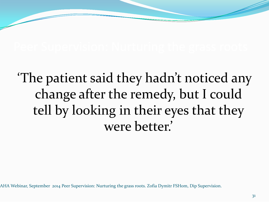### 'The patient said they hadn't noticed any change after the remedy, but I could tell by looking in their eyes that they were better.'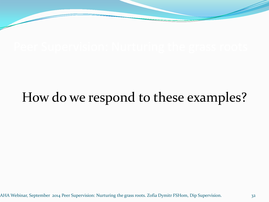### How do we respond to these examples?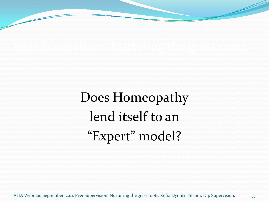Does Homeopathy lend itself to an "Expert" model?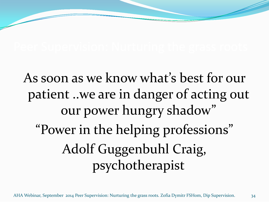## As soon as we know what's best for our patient ..we are in danger of acting out our power hungry shadow" "Power in the helping professions" Adolf Guggenbuhl Craig, psychotherapist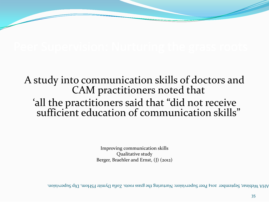A study into communication skills of doctors and CAM practitioners noted that 'all the practitioners said that "did not receive sufficient education of communication skills"

> Improving communication skills Qualitative study Berger, Braehler and Ernst, (J) (2012)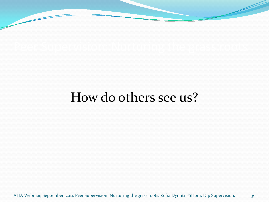#### How do others see us?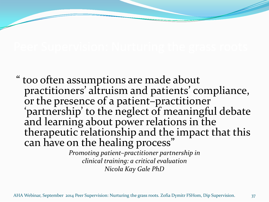" too often assumptions are made about practitioners' altruism and patients' compliance, or the presence of a patient-practitioner<br>'partnership' to the neglect of meaningful debate and learning about power relations in the therapeutic relationship and the impact that this can have on the healing process"

*Promoting patient–practitioner partnership in clinical training: a critical evaluation Nicola Kay Gale PhD*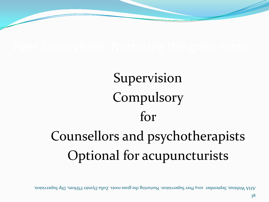# Supervision Compulsory for Counsellors and psychotherapists Optional for acupuncturists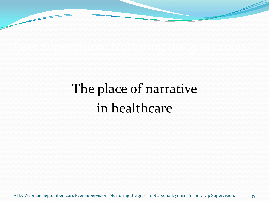## The place of narrative in healthcare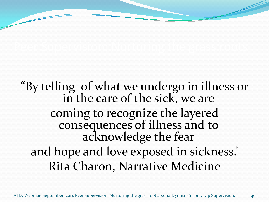"By telling of what we undergo in illness or<br>in the care of the sick, we are coming to recognize the layered consequences of illness and to acknowledge the fear and hope and love exposed in sickness.' Rita Charon, Narrative Medicine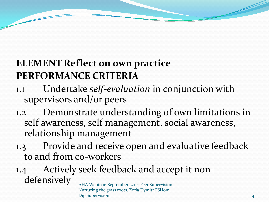#### **ELEMENT Reflect on own practice PERFORMANCE CRITERIA**

- 1.1 Undertake *self*-*evaluation* in conjunction with supervisors and/or peers
- 1.2 Demonstrate understanding of own limitations in self awareness, self management, social awareness, relationship management
- 1.3 Provide and receive open and evaluative feedback to and from co-workers

1.4 Actively seek feedback and accept it nondefensively AHA Webinar, September 2014 Peer Supervision:

Nurturing the grass roots. Zofia Dymitr FSHom, Dip Supervision. 41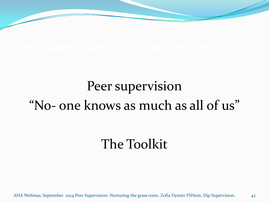## Peer supervision "No- one knows as much as all of us"

### The Toolkit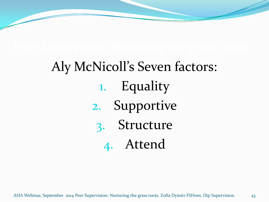# Aly McNicoll's Seven factors: 1. Equality 2. Supportive 3. Structure 4. Attend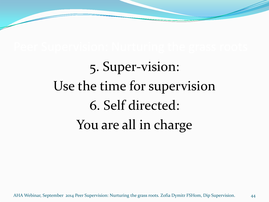# 5. Super-vision: Use the time for supervision 6. Self directed: You are all in charge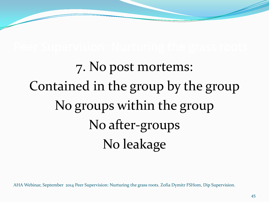# 7. No post mortems: Contained in the group by the group No groups within the group No after-groups No leakage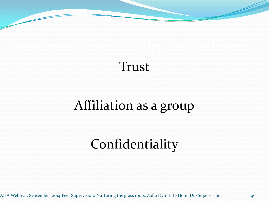#### Trust

### Affiliation as a group

### Confidentiality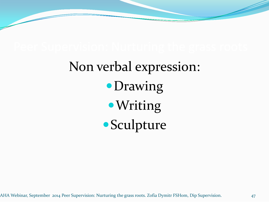Non verbal expression: **• Drawing** Writing Sculpture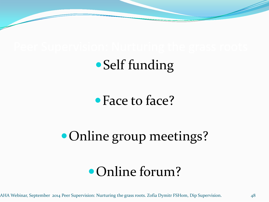### • Self funding

### • Face to face?

### Online group meetings?

### Online forum?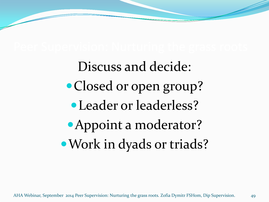Discuss and decide: • Closed or open group? Leader or leaderless? Appoint a moderator? Work in dyads or triads?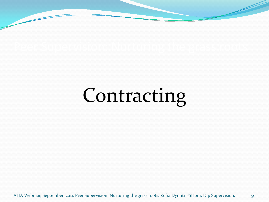# Contracting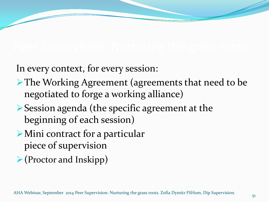In every context, for every session:

- **► The Working Agreement (agreements that need to be** negotiated to forge a working alliance)
- ▶ Session agenda (the specific agreement at the beginning of each session)
- Mini contract for a particular piece of supervision
- (Proctor and Inskipp)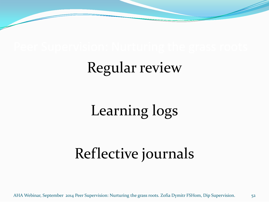## Regular review

# Learning logs

## Reflective journals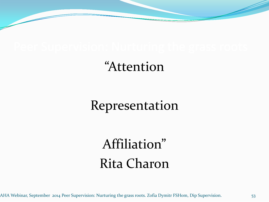### "Attention

### Representation

Affiliation" Rita Charon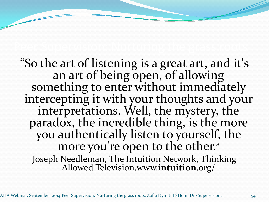"So the art of listening is a great art, and it's<br>an art of being open, of allowing<br>something to enter without immediately intercepting it with your thoughts and your interpretations. Well, the mystery, the paradox, the incredible thing, is the more you authentically listen to yourself, the more you're open to the other." Joseph Needleman, The Intuition Network, Thinking Allowed Television.www.**intuition**.org/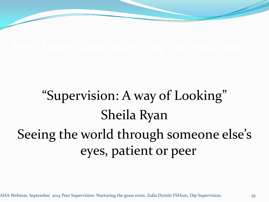## "Supervision: A way of Looking" Sheila Ryan Seeing the world through someone else's eyes, patient or peer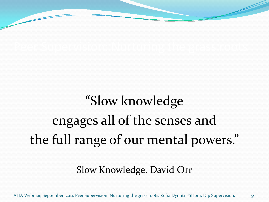# "Slow knowledge engages all of the senses and the full range of our mental powers."

#### Slow Knowledge. David Orr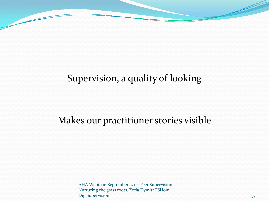#### Supervision, a quality of looking

#### Makes our practitioner stories visible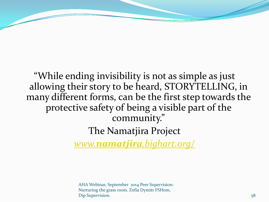"While ending invisibility is not as simple as just allowing their story to be heard, STORYTELLING, in many different forms, can be the first step towards the protective safety of being a visible part of the community." The Namatjira Project *[www.](http://www.namatjira.bighart.org/)[namatjira](http://www.namatjira.bighart.org/)[.bighart.org/](http://www.namatjira.bighart.org/)*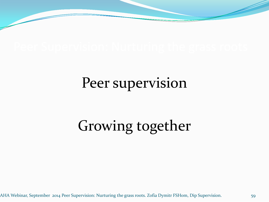## Peer supervision

## Growing together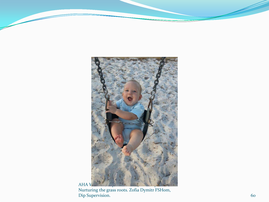

Nurturing the grass roots. Zofia Dymitr FSHom, Dip Supervision. 60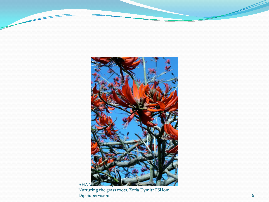

Nurturing the grass roots. Zofia Dymitr FSHom, Dip Supervision. 61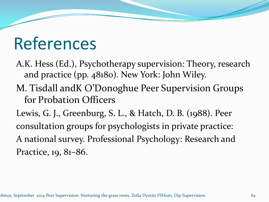A.K. Hess (Ed.), Psychotherapy supervision: Theory, research and practice (pp. 48180). New York: John Wiley.

M. Tisdall andK O'Donoghue Peer Supervision Groups for Probation Officers

Lewis, G. J., Greenburg, S. L., & Hatch, D. B. (1988). Peer consultation groups for psychologists in private practice: A national survey. Professional Psychology: Research and Practice, 19, 81–86.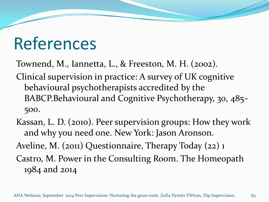Townend, M., Iannetta, L., & Freeston, M. H. (2002).

- Clinical supervision in practice: A survey of UK cognitive behavioural psychotherapists accredited by the BABCP.Behavioural and Cognitive Psychotherapy, 30, 485– 500.
- Kassan, L. D. (2010). Peer supervision groups: How they work and why you need one. New York: Jason Aronson. Aveline, M. (2011) Questionnaire, Therapy Today (22) 1 Castro, M. Power in the Consulting Room. The Homeopath

1984 and 2014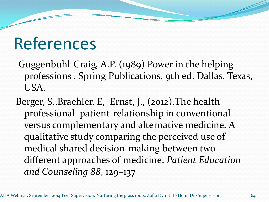- Guggenbuhl-Craig, A.P. (1989) Power in the helping professions . Spring Publications, 9th ed. Dallas, Texas, USA.
- Berger, S.,Braehler, E, Ernst, J., (2012).The health professional–patient-relationship in conventional versus complementary and alternative medicine. A qualitative study comparing the perceived use of medical shared decision-making between two different approaches of medicine. *Patient Education and Counseling 88*, 129–137